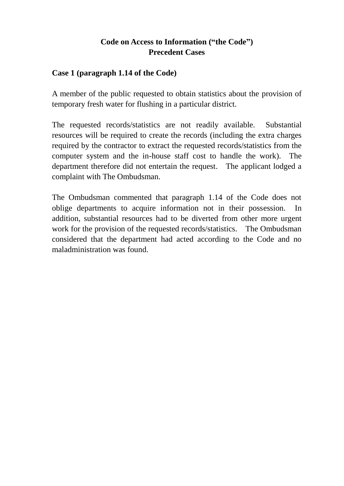# **Code on Access to Information ("the Code") Precedent Cases**

#### **Case 1 (paragraph 1.14 of the Code)**

A member of the public requested to obtain statistics about the provision of temporary fresh water for flushing in a particular district.

The requested records/statistics are not readily available. Substantial resources will be required to create the records (including the extra charges required by the contractor to extract the requested records/statistics from the computer system and the in-house staff cost to handle the work). The department therefore did not entertain the request. The applicant lodged a complaint with The Ombudsman.

The Ombudsman commented that paragraph 1.14 of the Code does not oblige departments to acquire information not in their possession. In addition, substantial resources had to be diverted from other more urgent work for the provision of the requested records/statistics. The Ombudsman considered that the department had acted according to the Code and no maladministration was found.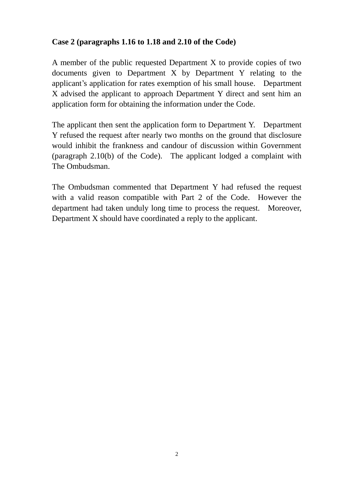## **Case 2 (paragraphs 1.16 to 1.18 and 2.10 of the Code)**

A member of the public requested Department X to provide copies of two documents given to Department X by Department Y relating to the applicant's application for rates exemption of his small house. Department X advised the applicant to approach Department Y direct and sent him an application form for obtaining the information under the Code.

The applicant then sent the application form to Department Y. Department Y refused the request after nearly two months on the ground that disclosure would inhibit the frankness and candour of discussion within Government (paragraph 2.10(b) of the Code). The applicant lodged a complaint with The Ombudsman.

The Ombudsman commented that Department Y had refused the request with a valid reason compatible with Part 2 of the Code. However the department had taken unduly long time to process the request. Moreover, Department X should have coordinated a reply to the applicant.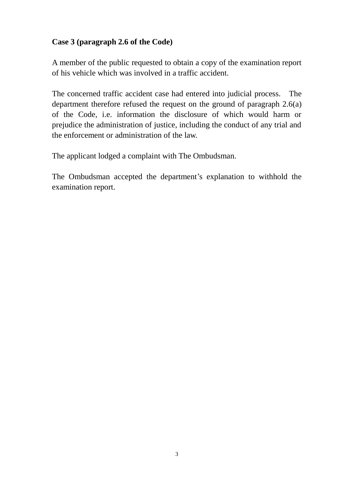# **Case 3 (paragraph 2.6 of the Code)**

A member of the public requested to obtain a copy of the examination report of his vehicle which was involved in a traffic accident.

The concerned traffic accident case had entered into judicial process. The department therefore refused the request on the ground of paragraph 2.6(a) of the Code, i.e. information the disclosure of which would harm or prejudice the administration of justice, including the conduct of any trial and the enforcement or administration of the law.

The applicant lodged a complaint with The Ombudsman.

The Ombudsman accepted the department's explanation to withhold the examination report.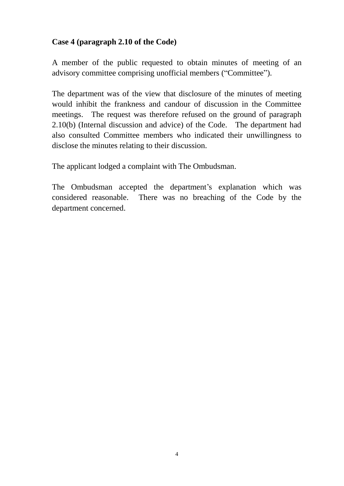## **Case 4 (paragraph 2.10 of the Code)**

A member of the public requested to obtain minutes of meeting of an advisory committee comprising unofficial members ("Committee").

The department was of the view that disclosure of the minutes of meeting would inhibit the frankness and candour of discussion in the Committee meetings. The request was therefore refused on the ground of paragraph 2.10(b) (Internal discussion and advice) of the Code. The department had also consulted Committee members who indicated their unwillingness to disclose the minutes relating to their discussion.

The applicant lodged a complaint with The Ombudsman.

The Ombudsman accepted the department's explanation which was considered reasonable. There was no breaching of the Code by the department concerned.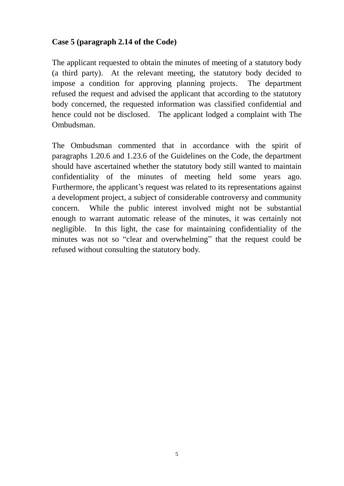#### **Case 5 (paragraph 2.14 of the Code)**

The applicant requested to obtain the minutes of meeting of a statutory body (a third party). At the relevant meeting, the statutory body decided to impose a condition for approving planning projects. The department refused the request and advised the applicant that according to the statutory body concerned, the requested information was classified confidential and hence could not be disclosed. The applicant lodged a complaint with The Ombudsman.

The Ombudsman commented that in accordance with the spirit of paragraphs 1.20.6 and 1.23.6 of the Guidelines on the Code, the department should have ascertained whether the statutory body still wanted to maintain confidentiality of the minutes of meeting held some years ago. Furthermore, the applicant's request was related to its representations against a development project, a subject of considerable controversy and community concern. While the public interest involved might not be substantial enough to warrant automatic release of the minutes, it was certainly not negligible. In this light, the case for maintaining confidentiality of the minutes was not so "clear and overwhelming" that the request could be refused without consulting the statutory body.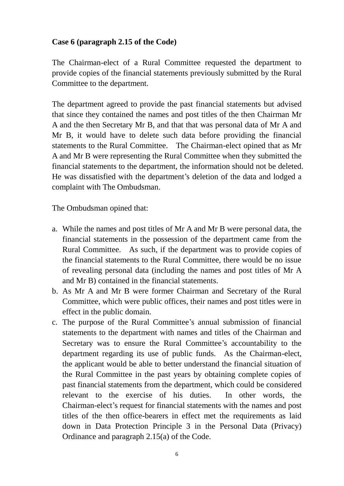## **Case 6 (paragraph 2.15 of the Code)**

The Chairman-elect of a Rural Committee requested the department to provide copies of the financial statements previously submitted by the Rural Committee to the department.

The department agreed to provide the past financial statements but advised that since they contained the names and post titles of the then Chairman Mr A and the then Secretary Mr B, and that that was personal data of Mr A and Mr B, it would have to delete such data before providing the financial statements to the Rural Committee. The Chairman-elect opined that as Mr A and Mr B were representing the Rural Committee when they submitted the financial statements to the department, the information should not be deleted. He was dissatisfied with the department's deletion of the data and lodged a complaint with The Ombudsman.

The Ombudsman opined that:

- a. While the names and post titles of Mr A and Mr B were personal data, the financial statements in the possession of the department came from the Rural Committee. As such, if the department was to provide copies of the financial statements to the Rural Committee, there would be no issue of revealing personal data (including the names and post titles of Mr A and Mr B) contained in the financial statements.
- b. As Mr A and Mr B were former Chairman and Secretary of the Rural Committee, which were public offices, their names and post titles were in effect in the public domain.
- c. The purpose of the Rural Committee's annual submission of financial statements to the department with names and titles of the Chairman and Secretary was to ensure the Rural Committee's accountability to the department regarding its use of public funds. As the Chairman-elect, the applicant would be able to better understand the financial situation of the Rural Committee in the past years by obtaining complete copies of past financial statements from the department, which could be considered relevant to the exercise of his duties. In other words, the Chairman-elect's request for financial statements with the names and post titles of the then office-bearers in effect met the requirements as laid down in Data Protection Principle 3 in the Personal Data (Privacy) Ordinance and paragraph 2.15(a) of the Code.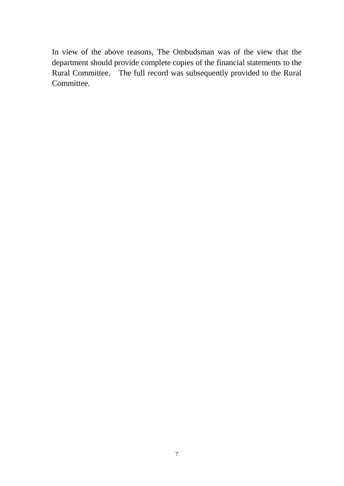In view of the above reasons, The Ombudsman was of the view that the department should provide complete copies of the financial statements to the Rural Committee. The full record was subsequently provided to the Rural Committee.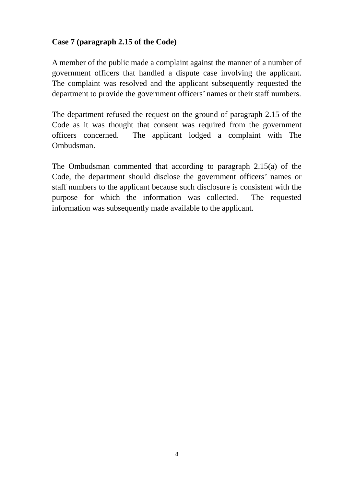# **Case 7 (paragraph 2.15 of the Code)**

A member of the public made a complaint against the manner of a number of government officers that handled a dispute case involving the applicant. The complaint was resolved and the applicant subsequently requested the department to provide the government officers' names or their staff numbers.

The department refused the request on the ground of paragraph 2.15 of the Code as it was thought that consent was required from the government officers concerned. The applicant lodged a complaint with The Ombudsman.

The Ombudsman commented that according to paragraph 2.15(a) of the Code, the department should disclose the government officers' names or staff numbers to the applicant because such disclosure is consistent with the purpose for which the information was collected. The requested information was subsequently made available to the applicant.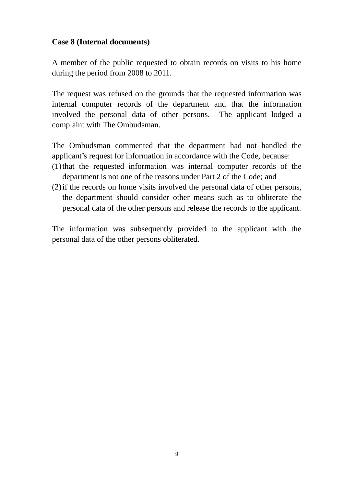#### **Case 8 (Internal documents)**

A member of the public requested to obtain records on visits to his home during the period from 2008 to 2011.

The request was refused on the grounds that the requested information was internal computer records of the department and that the information involved the personal data of other persons. The applicant lodged a complaint with The Ombudsman.

The Ombudsman commented that the department had not handled the applicant's request for information in accordance with the Code, because:

- (1)that the requested information was internal computer records of the department is not one of the reasons under Part 2 of the Code; and
- (2)if the records on home visits involved the personal data of other persons, the department should consider other means such as to obliterate the personal data of the other persons and release the records to the applicant.

The information was subsequently provided to the applicant with the personal data of the other persons obliterated.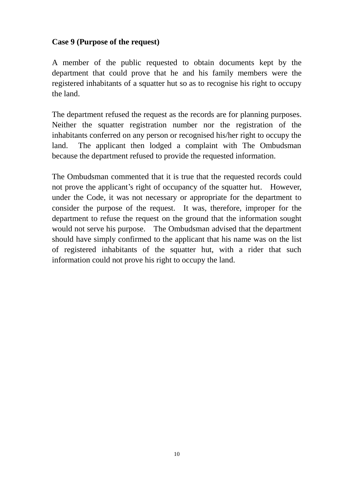#### **Case 9 (Purpose of the request)**

A member of the public requested to obtain documents kept by the department that could prove that he and his family members were the registered inhabitants of a squatter hut so as to recognise his right to occupy the land.

The department refused the request as the records are for planning purposes. Neither the squatter registration number nor the registration of the inhabitants conferred on any person or recognised his/her right to occupy the land. The applicant then lodged a complaint with The Ombudsman because the department refused to provide the requested information.

The Ombudsman commented that it is true that the requested records could not prove the applicant's right of occupancy of the squatter hut. However, under the Code, it was not necessary or appropriate for the department to consider the purpose of the request. It was, therefore, improper for the department to refuse the request on the ground that the information sought would not serve his purpose. The Ombudsman advised that the department should have simply confirmed to the applicant that his name was on the list of registered inhabitants of the squatter hut, with a rider that such information could not prove his right to occupy the land.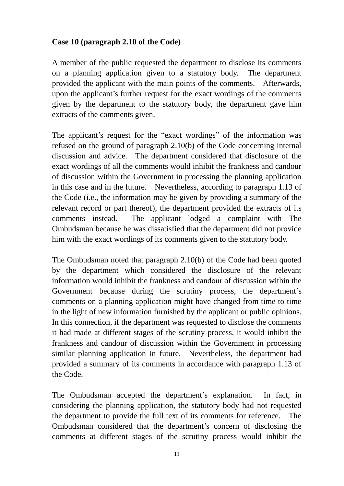#### **Case 10 (paragraph 2.10 of the Code)**

A member of the public requested the department to disclose its comments on a planning application given to a statutory body. The department provided the applicant with the main points of the comments. Afterwards, upon the applicant's further request for the exact wordings of the comments given by the department to the statutory body, the department gave him extracts of the comments given.

The applicant's request for the "exact wordings" of the information was refused on the ground of paragraph 2.10(b) of the Code concerning internal discussion and advice. The department considered that disclosure of the exact wordings of all the comments would inhibit the frankness and candour of discussion within the Government in processing the planning application in this case and in the future. Nevertheless, according to paragraph 1.13 of the Code (i.e., the information may be given by providing a summary of the relevant record or part thereof), the department provided the extracts of its comments instead. The applicant lodged a complaint with The Ombudsman because he was dissatisfied that the department did not provide him with the exact wordings of its comments given to the statutory body.

The Ombudsman noted that paragraph 2.10(b) of the Code had been quoted by the department which considered the disclosure of the relevant information would inhibit the frankness and candour of discussion within the Government because during the scrutiny process, the department's comments on a planning application might have changed from time to time in the light of new information furnished by the applicant or public opinions. In this connection, if the department was requested to disclose the comments it had made at different stages of the scrutiny process, it would inhibit the frankness and candour of discussion within the Government in processing similar planning application in future. Nevertheless, the department had provided a summary of its comments in accordance with paragraph 1.13 of the Code.

The Ombudsman accepted the department's explanation. In fact, in considering the planning application, the statutory body had not requested the department to provide the full text of its comments for reference. The Ombudsman considered that the department's concern of disclosing the comments at different stages of the scrutiny process would inhibit the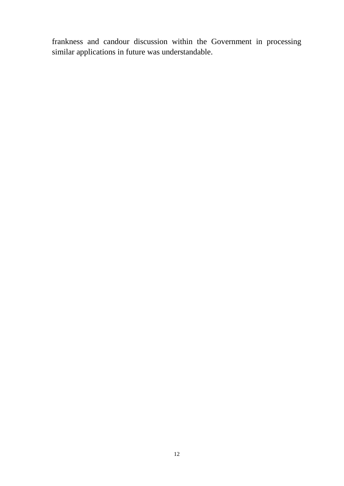frankness and candour discussion within the Government in processing similar applications in future was understandable.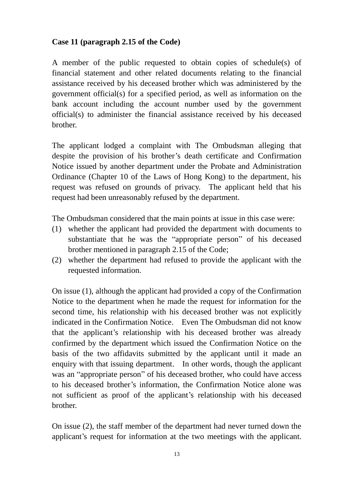## **Case 11 (paragraph 2.15 of the Code)**

A member of the public requested to obtain copies of schedule(s) of financial statement and other related documents relating to the financial assistance received by his deceased brother which was administered by the government official(s) for a specified period, as well as information on the bank account including the account number used by the government official(s) to administer the financial assistance received by his deceased brother.

The applicant lodged a complaint with The Ombudsman alleging that despite the provision of his brother's death certificate and Confirmation Notice issued by another department under the Probate and Administration Ordinance (Chapter 10 of the Laws of Hong Kong) to the department, his request was refused on grounds of privacy. The applicant held that his request had been unreasonably refused by the department.

The Ombudsman considered that the main points at issue in this case were:

- (1) whether the applicant had provided the department with documents to substantiate that he was the "appropriate person" of his deceased brother mentioned in paragraph 2.15 of the Code;
- (2) whether the department had refused to provide the applicant with the requested information.

On issue (1), although the applicant had provided a copy of the Confirmation Notice to the department when he made the request for information for the second time, his relationship with his deceased brother was not explicitly indicated in the Confirmation Notice. Even The Ombudsman did not know that the applicant's relationship with his deceased brother was already confirmed by the department which issued the Confirmation Notice on the basis of the two affidavits submitted by the applicant until it made an enquiry with that issuing department. In other words, though the applicant was an "appropriate person" of his deceased brother, who could have access to his deceased brother's information, the Confirmation Notice alone was not sufficient as proof of the applicant's relationship with his deceased brother.

On issue (2), the staff member of the department had never turned down the applicant's request for information at the two meetings with the applicant.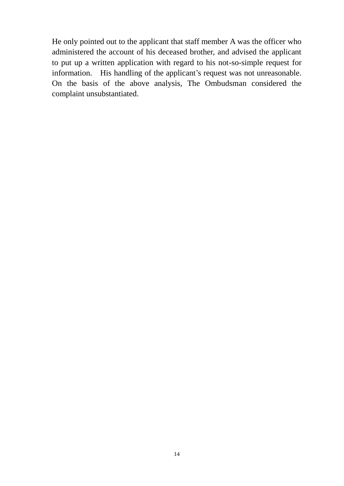He only pointed out to the applicant that staff member A was the officer who administered the account of his deceased brother, and advised the applicant to put up a written application with regard to his not-so-simple request for information. His handling of the applicant's request was not unreasonable. On the basis of the above analysis, The Ombudsman considered the complaint unsubstantiated.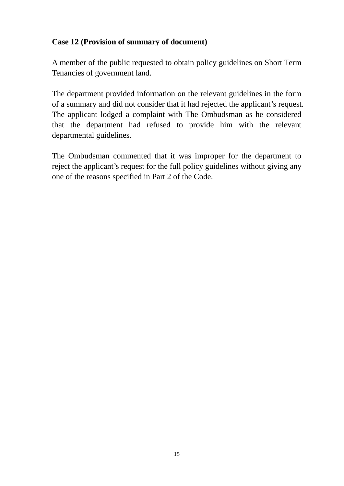# **Case 12 (Provision of summary of document)**

A member of the public requested to obtain policy guidelines on Short Term Tenancies of government land.

The department provided information on the relevant guidelines in the form of a summary and did not consider that it had rejected the applicant's request. The applicant lodged a complaint with The Ombudsman as he considered that the department had refused to provide him with the relevant departmental guidelines.

The Ombudsman commented that it was improper for the department to reject the applicant's request for the full policy guidelines without giving any one of the reasons specified in Part 2 of the Code.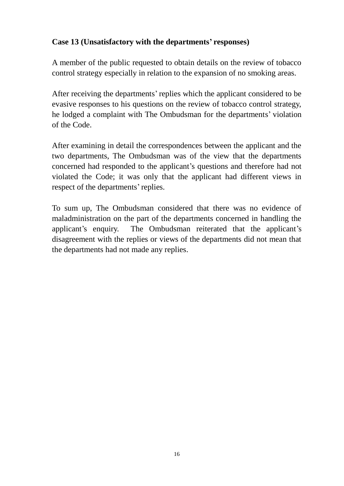## **Case 13 (Unsatisfactory with the departments' responses)**

A member of the public requested to obtain details on the review of tobacco control strategy especially in relation to the expansion of no smoking areas.

After receiving the departments' replies which the applicant considered to be evasive responses to his questions on the review of tobacco control strategy, he lodged a complaint with The Ombudsman for the departments' violation of the Code.

After examining in detail the correspondences between the applicant and the two departments, The Ombudsman was of the view that the departments concerned had responded to the applicant's questions and therefore had not violated the Code; it was only that the applicant had different views in respect of the departments'replies.

To sum up, The Ombudsman considered that there was no evidence of maladministration on the part of the departments concerned in handling the applicant's enquiry. The Ombudsman reiterated that the applicant's disagreement with the replies or views of the departments did not mean that the departments had not made any replies.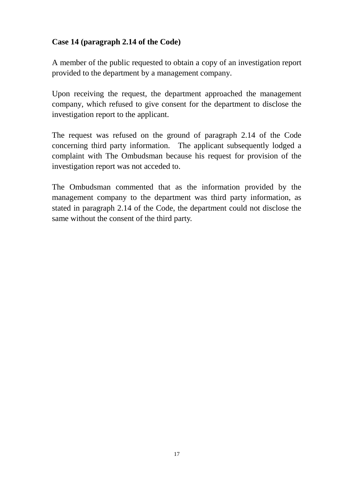# **Case 14 (paragraph 2.14 of the Code)**

A member of the public requested to obtain a copy of an investigation report provided to the department by a management company.

Upon receiving the request, the department approached the management company, which refused to give consent for the department to disclose the investigation report to the applicant.

The request was refused on the ground of paragraph 2.14 of the Code concerning third party information. The applicant subsequently lodged a complaint with The Ombudsman because his request for provision of the investigation report was not acceded to.

The Ombudsman commented that as the information provided by the management company to the department was third party information, as stated in paragraph 2.14 of the Code, the department could not disclose the same without the consent of the third party.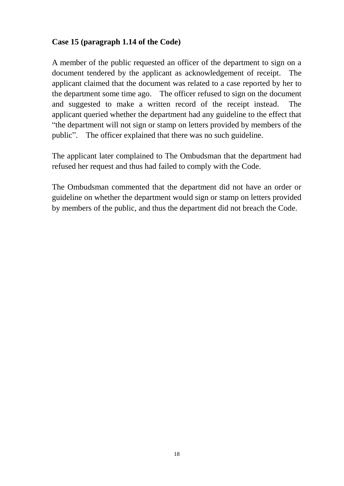#### **Case 15 (paragraph 1.14 of the Code)**

A member of the public requested an officer of the department to sign on a document tendered by the applicant as acknowledgement of receipt. The applicant claimed that the document was related to a case reported by her to the department some time ago. The officer refused to sign on the document and suggested to make a written record of the receipt instead. The applicant queried whether the department had any guideline to the effect that "the department will not sign or stamp on letters provided by members of the public". The officer explained that there was no such guideline.

The applicant later complained to The Ombudsman that the department had refused her request and thus had failed to comply with the Code.

The Ombudsman commented that the department did not have an order or guideline on whether the department would sign or stamp on letters provided by members of the public, and thus the department did not breach the Code.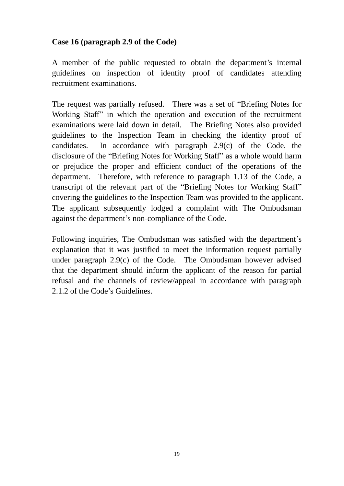#### **Case 16 (paragraph 2.9 of the Code)**

A member of the public requested to obtain the department's internal guidelines on inspection of identity proof of candidates attending recruitment examinations.

The request was partially refused. There was a set of "Briefing Notes for Working Staff" in which the operation and execution of the recruitment examinations were laid down in detail. The Briefing Notes also provided guidelines to the Inspection Team in checking the identity proof of candidates. In accordance with paragraph 2.9(c) of the Code, the disclosure of the "Briefing Notes for Working Staff" as a whole would harm or prejudice the proper and efficient conduct of the operations of the department. Therefore, with reference to paragraph 1.13 of the Code, a transcript of the relevant part of the "Briefing Notes for Working Staff" covering the guidelines to the Inspection Team was provided to the applicant. The applicant subsequently lodged a complaint with The Ombudsman against the department's non-compliance of the Code.

Following inquiries, The Ombudsman was satisfied with the department's explanation that it was justified to meet the information request partially under paragraph 2.9(c) of the Code. The Ombudsman however advised that the department should inform the applicant of the reason for partial refusal and the channels of review/appeal in accordance with paragraph 2.1.2 of the Code's Guidelines.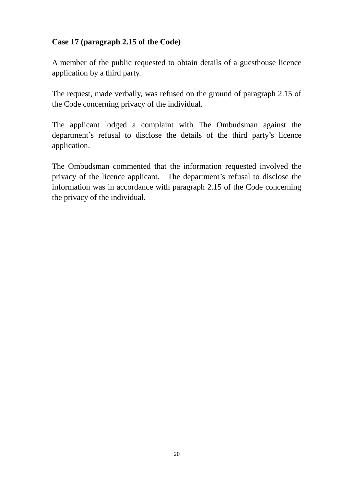# **Case 17 (paragraph 2.15 of the Code)**

A member of the public requested to obtain details of a guesthouse licence application by a third party.

The request, made verbally, was refused on the ground of paragraph 2.15 of the Code concerning privacy of the individual.

The applicant lodged a complaint with The Ombudsman against the department's refusal to disclose the details of the third party's licence application.

The Ombudsman commented that the information requested involved the privacy of the licence applicant. The department's refusal to disclose the information was in accordance with paragraph 2.15 of the Code concerning the privacy of the individual.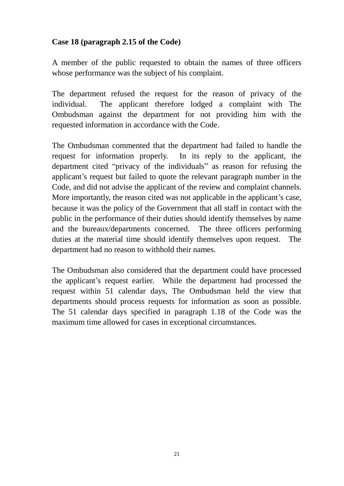## **Case 18 (paragraph 2.15 of the Code)**

A member of the public requested to obtain the names of three officers whose performance was the subject of his complaint.

The department refused the request for the reason of privacy of the individual. The applicant therefore lodged a complaint with The Ombudsman against the department for not providing him with the requested information in accordance with the Code.

The Ombudsman commented that the department had failed to handle the request for information properly. In its reply to the applicant, the department cited "privacy of the individuals" as reason for refusing the applicant's request but failed to quote the relevant paragraph number in the Code, and did not advise the applicant of the review and complaint channels. More importantly, the reason cited was not applicable in the applicant's case, because it was the policy of the Government that all staff in contact with the public in the performance of their duties should identify themselves by name and the bureaux/departments concerned. The three officers performing duties at the material time should identify themselves upon request. The department had no reason to withhold their names.

The Ombudsman also considered that the department could have processed the applicant's request earlier. While the department had processed the request within 51 calendar days, The Ombudsman held the view that departments should process requests for information as soon as possible. The 51 calendar days specified in paragraph 1.18 of the Code was the maximum time allowed for cases in exceptional circumstances.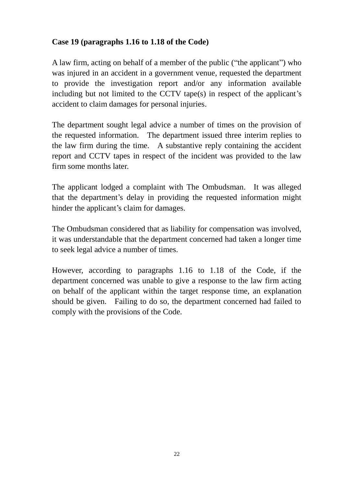# **Case 19 (paragraphs 1.16 to 1.18 of the Code)**

A law firm, acting on behalf of a member of the public ("the applicant") who was injured in an accident in a government venue, requested the department to provide the investigation report and/or any information available including but not limited to the CCTV tape(s) in respect of the applicant's accident to claim damages for personal injuries.

The department sought legal advice a number of times on the provision of the requested information. The department issued three interim replies to the law firm during the time. A substantive reply containing the accident report and CCTV tapes in respect of the incident was provided to the law firm some months later.

The applicant lodged a complaint with The Ombudsman. It was alleged that the department's delay in providing the requested information might hinder the applicant's claim for damages.

The Ombudsman considered that as liability for compensation was involved, it was understandable that the department concerned had taken a longer time to seek legal advice a number of times.

However, according to paragraphs 1.16 to 1.18 of the Code, if the department concerned was unable to give a response to the law firm acting on behalf of the applicant within the target response time, an explanation should be given. Failing to do so, the department concerned had failed to comply with the provisions of the Code.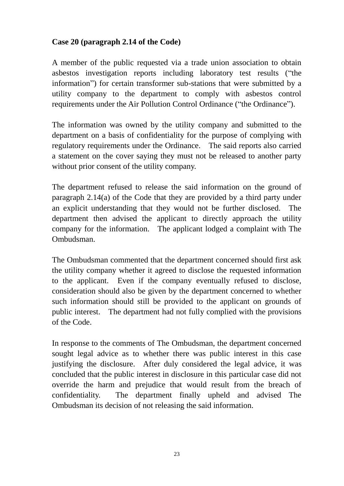## **Case 20 (paragraph 2.14 of the Code)**

A member of the public requested via a trade union association to obtain asbestos investigation reports including laboratory test results ("the information") for certain transformer sub-stations that were submitted by a utility company to the department to comply with asbestos control requirements under the Air Pollution Control Ordinance ("the Ordinance").

The information was owned by the utility company and submitted to the department on a basis of confidentiality for the purpose of complying with regulatory requirements under the Ordinance. The said reports also carried a statement on the cover saying they must not be released to another party without prior consent of the utility company.

The department refused to release the said information on the ground of paragraph 2.14(a) of the Code that they are provided by a third party under an explicit understanding that they would not be further disclosed. The department then advised the applicant to directly approach the utility company for the information. The applicant lodged a complaint with The Ombudsman.

The Ombudsman commented that the department concerned should first ask the utility company whether it agreed to disclose the requested information to the applicant. Even if the company eventually refused to disclose, consideration should also be given by the department concerned to whether such information should still be provided to the applicant on grounds of public interest. The department had not fully complied with the provisions of the Code.

In response to the comments of The Ombudsman, the department concerned sought legal advice as to whether there was public interest in this case justifying the disclosure. After duly considered the legal advice, it was concluded that the public interest in disclosure in this particular case did not override the harm and prejudice that would result from the breach of confidentiality. The department finally upheld and advised The Ombudsman its decision of not releasing the said information.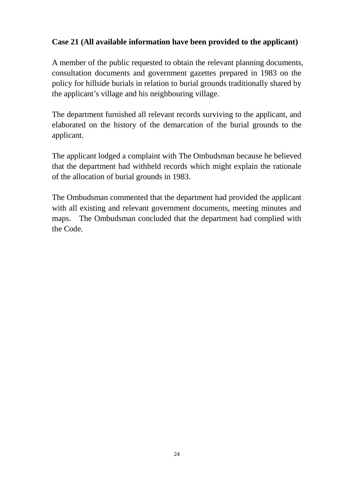# **Case 21 (All available information have been provided to the applicant)**

A member of the public requested to obtain the relevant planning documents, consultation documents and government gazettes prepared in 1983 on the policy for hillside burials in relation to burial grounds traditionally shared by the applicant's village and his neighbouring village.

The department furnished all relevant records surviving to the applicant, and elaborated on the history of the demarcation of the burial grounds to the applicant.

The applicant lodged a complaint with The Ombudsman because he believed that the department had withheld records which might explain the rationale of the allocation of burial grounds in 1983.

The Ombudsman commented that the department had provided the applicant with all existing and relevant government documents, meeting minutes and maps. The Ombudsman concluded that the department had complied with the Code.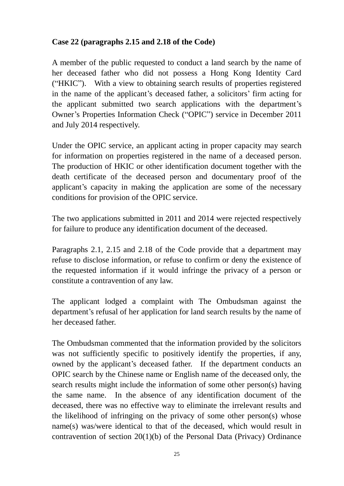## **Case 22 (paragraphs 2.15 and 2.18 of the Code)**

A member of the public requested to conduct a land search by the name of her deceased father who did not possess a Hong Kong Identity Card ("HKIC"). With a view to obtaining search results of properties registered in the name of the applicant's deceased father, a solicitors' firm acting for the applicant submitted two search applications with the department's Owner's Properties Information Check ("OPIC") service in December 2011 and July 2014 respectively.

Under the OPIC service, an applicant acting in proper capacity may search for information on properties registered in the name of a deceased person. The production of HKIC or other identification document together with the death certificate of the deceased person and documentary proof of the applicant's capacity in making the application are some of the necessary conditions for provision of the OPIC service.

The two applications submitted in 2011 and 2014 were rejected respectively for failure to produce any identification document of the deceased.

Paragraphs 2.1, 2.15 and 2.18 of the Code provide that a department may refuse to disclose information, or refuse to confirm or deny the existence of the requested information if it would infringe the privacy of a person or constitute a contravention of any law.

The applicant lodged a complaint with The Ombudsman against the department's refusal of her application for land search results by the name of her deceased father.

The Ombudsman commented that the information provided by the solicitors was not sufficiently specific to positively identify the properties, if any, owned by the applicant's deceased father. If the department conducts an OPIC search by the Chinese name or English name of the deceased only, the search results might include the information of some other person(s) having the same name. In the absence of any identification document of the deceased, there was no effective way to eliminate the irrelevant results and the likelihood of infringing on the privacy of some other person(s) whose name(s) was/were identical to that of the deceased, which would result in contravention of section 20(1)(b) of the Personal Data (Privacy) Ordinance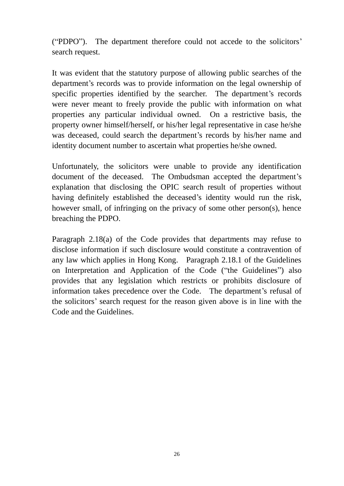("PDPO"). The department therefore could not accede to the solicitors' search request.

It was evident that the statutory purpose of allowing public searches of the department's records was to provide information on the legal ownership of specific properties identified by the searcher. The department's records were never meant to freely provide the public with information on what properties any particular individual owned. On a restrictive basis, the property owner himself/herself, or his/her legal representative in case he/she was deceased, could search the department's records by his/her name and identity document number to ascertain what properties he/she owned.

Unfortunately, the solicitors were unable to provide any identification document of the deceased. The Ombudsman accepted the department's explanation that disclosing the OPIC search result of properties without having definitely established the deceased's identity would run the risk, however small, of infringing on the privacy of some other person(s), hence breaching the PDPO.

Paragraph 2.18(a) of the Code provides that departments may refuse to disclose information if such disclosure would constitute a contravention of any law which applies in Hong Kong. Paragraph 2.18.1 of the Guidelines on Interpretation and Application of the Code ("the Guidelines") also provides that any legislation which restricts or prohibits disclosure of information takes precedence over the Code. The department's refusal of the solicitors' search request for the reason given above is in line with the Code and the Guidelines.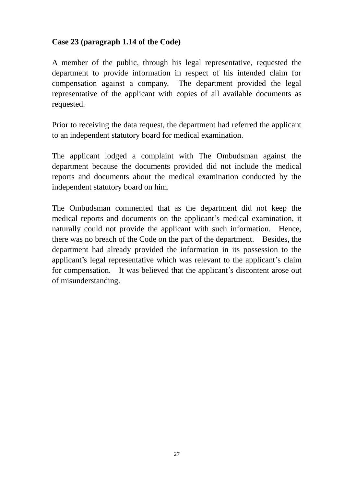#### **Case 23 (paragraph 1.14 of the Code)**

A member of the public, through his legal representative, requested the department to provide information in respect of his intended claim for compensation against a company. The department provided the legal representative of the applicant with copies of all available documents as requested.

Prior to receiving the data request, the department had referred the applicant to an independent statutory board for medical examination.

The applicant lodged a complaint with The Ombudsman against the department because the documents provided did not include the medical reports and documents about the medical examination conducted by the independent statutory board on him.

The Ombudsman commented that as the department did not keep the medical reports and documents on the applicant's medical examination, it naturally could not provide the applicant with such information. Hence, there was no breach of the Code on the part of the department. Besides, the department had already provided the information in its possession to the applicant's legal representative which was relevant to the applicant's claim for compensation. It was believed that the applicant's discontent arose out of misunderstanding.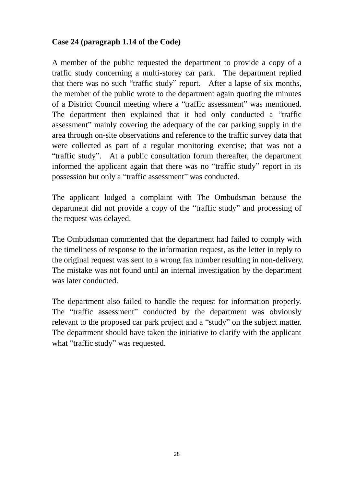#### **Case 24 (paragraph 1.14 of the Code)**

A member of the public requested the department to provide a copy of a traffic study concerning a multi-storey car park. The department replied that there was no such "traffic study" report. After a lapse of six months, the member of the public wrote to the department again quoting the minutes of a District Council meeting where a "traffic assessment" was mentioned. The department then explained that it had only conducted a "traffic assessment" mainly covering the adequacy of the car parking supply in the area through on-site observations and reference to the traffic survey data that were collected as part of a regular monitoring exercise; that was not a "traffic study". At a public consultation forum thereafter, the department informed the applicant again that there was no "traffic study" report in its possession but only a "traffic assessment" was conducted.

The applicant lodged a complaint with The Ombudsman because the department did not provide a copy of the "traffic study" and processing of the request was delayed.

The Ombudsman commented that the department had failed to comply with the timeliness of response to the information request, as the letter in reply to the original request was sent to a wrong fax number resulting in non-delivery. The mistake was not found until an internal investigation by the department was later conducted.

The department also failed to handle the request for information properly. The "traffic assessment" conducted by the department was obviously relevant to the proposed car park project and a "study" on the subject matter. The department should have taken the initiative to clarify with the applicant what "traffic study" was requested.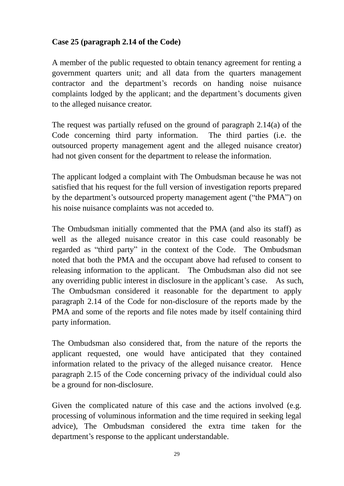# **Case 25 (paragraph 2.14 of the Code)**

A member of the public requested to obtain tenancy agreement for renting a government quarters unit; and all data from the quarters management contractor and the department's records on handing noise nuisance complaints lodged by the applicant; and the department's documents given to the alleged nuisance creator.

The request was partially refused on the ground of paragraph 2.14(a) of the Code concerning third party information. The third parties (i.e. the outsourced property management agent and the alleged nuisance creator) had not given consent for the department to release the information.

The applicant lodged a complaint with The Ombudsman because he was not satisfied that his request for the full version of investigation reports prepared by the department's outsourced property management agent ("the PMA") on his noise nuisance complaints was not acceded to.

The Ombudsman initially commented that the PMA (and also its staff) as well as the alleged nuisance creator in this case could reasonably be regarded as "third party" in the context of the Code. The Ombudsman noted that both the PMA and the occupant above had refused to consent to releasing information to the applicant. The Ombudsman also did not see any overriding public interest in disclosure in the applicant's case. As such, The Ombudsman considered it reasonable for the department to apply paragraph 2.14 of the Code for non-disclosure of the reports made by the PMA and some of the reports and file notes made by itself containing third party information.

The Ombudsman also considered that, from the nature of the reports the applicant requested, one would have anticipated that they contained information related to the privacy of the alleged nuisance creator. Hence paragraph 2.15 of the Code concerning privacy of the individual could also be a ground for non-disclosure.

Given the complicated nature of this case and the actions involved (e.g. processing of voluminous information and the time required in seeking legal advice), The Ombudsman considered the extra time taken for the department's response to the applicant understandable.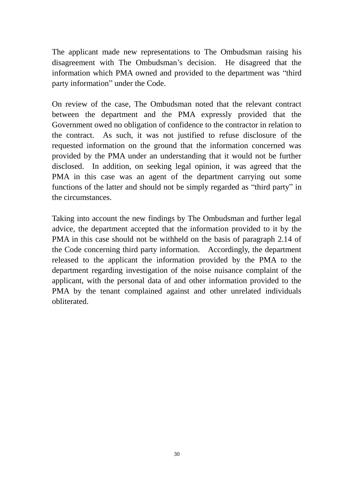The applicant made new representations to The Ombudsman raising his disagreement with The Ombudsman's decision. He disagreed that the information which PMA owned and provided to the department was "third party information" under the Code.

On review of the case, The Ombudsman noted that the relevant contract between the department and the PMA expressly provided that the Government owed no obligation of confidence to the contractor in relation to the contract. As such, it was not justified to refuse disclosure of the requested information on the ground that the information concerned was provided by the PMA under an understanding that it would not be further disclosed. In addition, on seeking legal opinion, it was agreed that the PMA in this case was an agent of the department carrying out some functions of the latter and should not be simply regarded as "third party" in the circumstances.

Taking into account the new findings by The Ombudsman and further legal advice, the department accepted that the information provided to it by the PMA in this case should not be withheld on the basis of paragraph 2.14 of the Code concerning third party information. Accordingly, the department released to the applicant the information provided by the PMA to the department regarding investigation of the noise nuisance complaint of the applicant, with the personal data of and other information provided to the PMA by the tenant complained against and other unrelated individuals obliterated.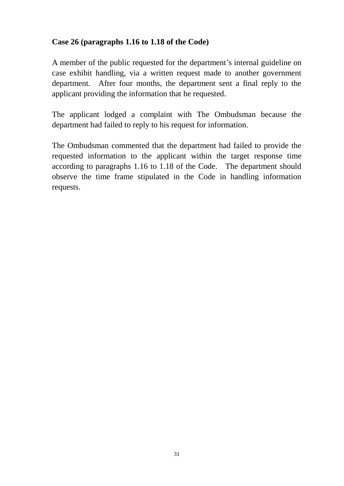# **Case 26 (paragraphs 1.16 to 1.18 of the Code)**

A member of the public requested for the department's internal guideline on case exhibit handling, via a written request made to another government department. After four months, the department sent a final reply to the applicant providing the information that he requested.

The applicant lodged a complaint with The Ombudsman because the department had failed to reply to his request for information.

The Ombudsman commented that the department had failed to provide the requested information to the applicant within the target response time according to paragraphs 1.16 to 1.18 of the Code. The department should observe the time frame stipulated in the Code in handling information requests.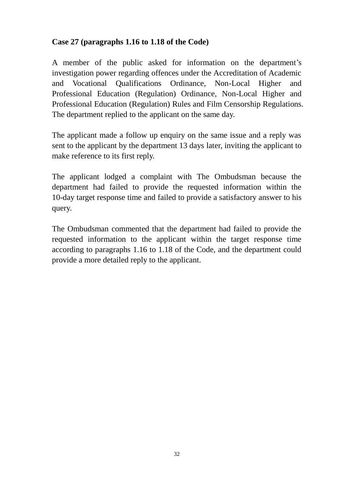# **Case 27 (paragraphs 1.16 to 1.18 of the Code)**

A member of the public asked for information on the department's investigation power regarding offences under the Accreditation of Academic and Vocational Qualifications Ordinance, Non-Local Higher and Professional Education (Regulation) Ordinance, Non-Local Higher and Professional Education (Regulation) Rules and Film Censorship Regulations. The department replied to the applicant on the same day.

The applicant made a follow up enquiry on the same issue and a reply was sent to the applicant by the department 13 days later, inviting the applicant to make reference to its first reply.

The applicant lodged a complaint with The Ombudsman because the department had failed to provide the requested information within the 10-day target response time and failed to provide a satisfactory answer to his query.

The Ombudsman commented that the department had failed to provide the requested information to the applicant within the target response time according to paragraphs 1.16 to 1.18 of the Code, and the department could provide a more detailed reply to the applicant.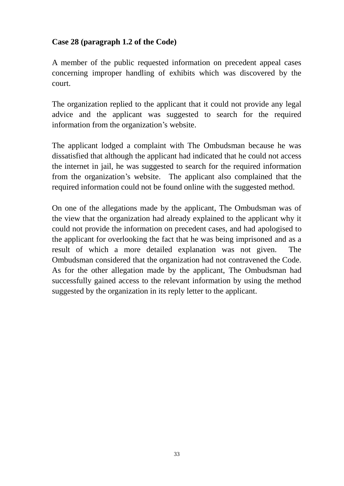## **Case 28 (paragraph 1.2 of the Code)**

A member of the public requested information on precedent appeal cases concerning improper handling of exhibits which was discovered by the court.

The organization replied to the applicant that it could not provide any legal advice and the applicant was suggested to search for the required information from the organization's website.

The applicant lodged a complaint with The Ombudsman because he was dissatisfied that although the applicant had indicated that he could not access the internet in jail, he was suggested to search for the required information from the organization's website. The applicant also complained that the required information could not be found online with the suggested method.

On one of the allegations made by the applicant, The Ombudsman was of the view that the organization had already explained to the applicant why it could not provide the information on precedent cases, and had apologised to the applicant for overlooking the fact that he was being imprisoned and as a result of which a more detailed explanation was not given. The Ombudsman considered that the organization had not contravened the Code. As for the other allegation made by the applicant, The Ombudsman had successfully gained access to the relevant information by using the method suggested by the organization in its reply letter to the applicant.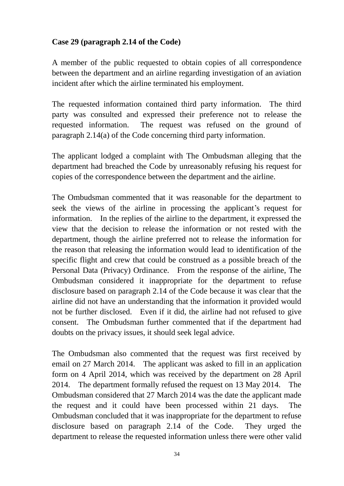## **Case 29 (paragraph 2.14 of the Code)**

A member of the public requested to obtain copies of all correspondence between the department and an airline regarding investigation of an aviation incident after which the airline terminated his employment.

The requested information contained third party information. The third party was consulted and expressed their preference not to release the requested information. The request was refused on the ground of paragraph 2.14(a) of the Code concerning third party information.

The applicant lodged a complaint with The Ombudsman alleging that the department had breached the Code by unreasonably refusing his request for copies of the correspondence between the department and the airline.

The Ombudsman commented that it was reasonable for the department to seek the views of the airline in processing the applicant's request for information. In the replies of the airline to the department, it expressed the view that the decision to release the information or not rested with the department, though the airline preferred not to release the information for the reason that releasing the information would lead to identification of the specific flight and crew that could be construed as a possible breach of the Personal Data (Privacy) Ordinance. From the response of the airline, The Ombudsman considered it inappropriate for the department to refuse disclosure based on paragraph 2.14 of the Code because it was clear that the airline did not have an understanding that the information it provided would not be further disclosed. Even if it did, the airline had not refused to give consent. The Ombudsman further commented that if the department had doubts on the privacy issues, it should seek legal advice.

The Ombudsman also commented that the request was first received by email on 27 March 2014. The applicant was asked to fill in an application form on 4 April 2014, which was received by the department on 28 April 2014. The department formally refused the request on 13 May 2014. The Ombudsman considered that 27 March 2014 was the date the applicant made the request and it could have been processed within 21 days. The Ombudsman concluded that it was inappropriate for the department to refuse disclosure based on paragraph 2.14 of the Code. They urged the department to release the requested information unless there were other valid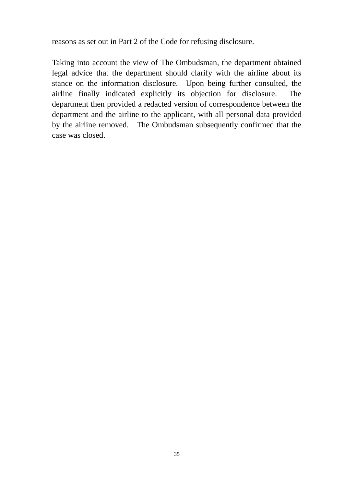reasons as set out in Part 2 of the Code for refusing disclosure.

Taking into account the view of The Ombudsman, the department obtained legal advice that the department should clarify with the airline about its stance on the information disclosure. Upon being further consulted, the airline finally indicated explicitly its objection for disclosure. The department then provided a redacted version of correspondence between the department and the airline to the applicant, with all personal data provided by the airline removed. The Ombudsman subsequently confirmed that the case was closed.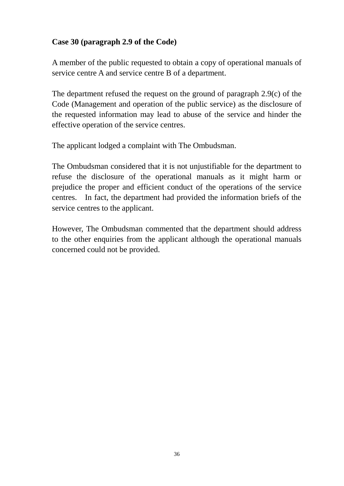## **Case 30 (paragraph 2.9 of the Code)**

A member of the public requested to obtain a copy of operational manuals of service centre A and service centre B of a department.

The department refused the request on the ground of paragraph 2.9(c) of the Code (Management and operation of the public service) as the disclosure of the requested information may lead to abuse of the service and hinder the effective operation of the service centres.

The applicant lodged a complaint with The Ombudsman.

The Ombudsman considered that it is not unjustifiable for the department to refuse the disclosure of the operational manuals as it might harm or prejudice the proper and efficient conduct of the operations of the service centres. In fact, the department had provided the information briefs of the service centres to the applicant.

However, The Ombudsman commented that the department should address to the other enquiries from the applicant although the operational manuals concerned could not be provided.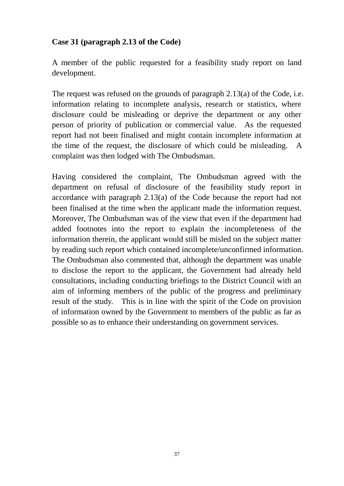#### **Case 31 (paragraph 2.13 of the Code)**

A member of the public requested for a feasibility study report on land development.

The request was refused on the grounds of paragraph 2.13(a) of the Code, i.e. information relating to incomplete analysis, research or statistics, where disclosure could be misleading or deprive the department or any other person of priority of publication or commercial value. As the requested report had not been finalised and might contain incomplete information at the time of the request, the disclosure of which could be misleading. A complaint was then lodged with The Ombudsman.

Having considered the complaint, The Ombudsman agreed with the department on refusal of disclosure of the feasibility study report in accordance with paragraph 2.13(a) of the Code because the report had not been finalised at the time when the applicant made the information request. Moreover, The Ombudsman was of the view that even if the department had added footnotes into the report to explain the incompleteness of the information therein, the applicant would still be misled on the subject matter by reading such report which contained incomplete/unconfirmed information. The Ombudsman also commented that, although the department was unable to disclose the report to the applicant, the Government had already held consultations, including conducting briefings to the District Council with an aim of informing members of the public of the progress and preliminary result of the study. This is in line with the spirit of the Code on provision of information owned by the Government to members of the public as far as possible so as to enhance their understanding on government services.